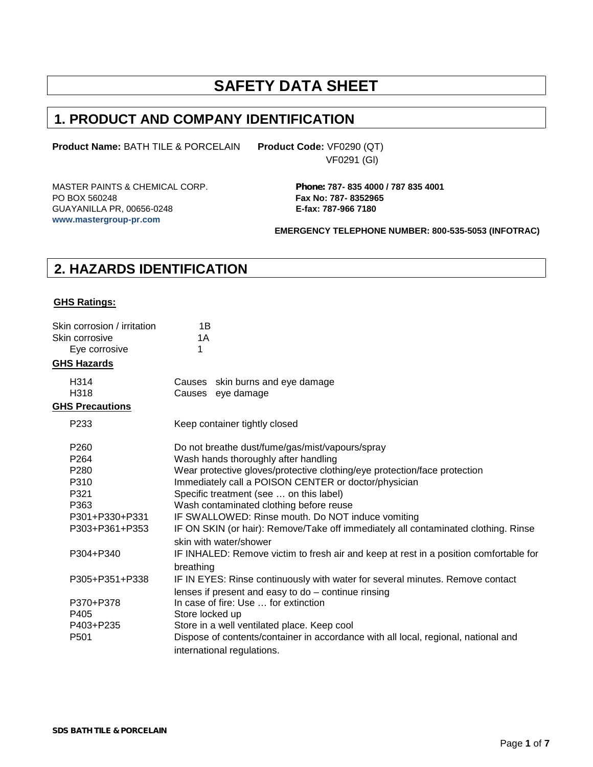# **SAFETY DATA SHEET**

#### **1. PRODUCT AND COMPANY IDENTIFICATION**

**Product Name:** BATH TILE & PORCELAIN **Product Code:** VF0290 (QT)

VF0291 (Gl)

PO BOX 560248 **Fax No: 787- 8352965** GUAYANILLA PR, 00656-0248 **E-fax: 787-966 7180 www.mastergroup-pr.com**

MASTER PAINTS & CHEMICAL CORP. *Phone:* **787- 835 4000 / 787 835 4001**

**EMERGENCY TELEPHONE NUMBER: 800-535-5053 (INFOTRAC)**

### **2. HAZARDS IDENTIFICATION**

#### **GHS Ratings:**

| Skin corrosion / irritation<br>Skin corrosive | 1B<br>1A                                                                                                         |
|-----------------------------------------------|------------------------------------------------------------------------------------------------------------------|
| Eye corrosive                                 | 1                                                                                                                |
| <b>GHS Hazards</b>                            |                                                                                                                  |
| H314                                          | Causes skin burns and eye damage                                                                                 |
| H318                                          | Causes eye damage                                                                                                |
| <b>GHS Precautions</b>                        |                                                                                                                  |
| P <sub>233</sub>                              | Keep container tightly closed                                                                                    |
| P <sub>260</sub>                              | Do not breathe dust/fume/gas/mist/vapours/spray                                                                  |
| P <sub>264</sub>                              | Wash hands thoroughly after handling                                                                             |
| P280                                          | Wear protective gloves/protective clothing/eye protection/face protection                                        |
| P310                                          | Immediately call a POISON CENTER or doctor/physician                                                             |
| P321                                          | Specific treatment (see  on this label)                                                                          |
| P363                                          | Wash contaminated clothing before reuse                                                                          |
| P301+P330+P331                                | IF SWALLOWED: Rinse mouth. Do NOT induce vomiting                                                                |
| P303+P361+P353                                | IF ON SKIN (or hair): Remove/Take off immediately all contaminated clothing. Rinse<br>skin with water/shower     |
| P304+P340                                     | IF INHALED: Remove victim to fresh air and keep at rest in a position comfortable for<br>breathing               |
| P305+P351+P338                                | IF IN EYES: Rinse continuously with water for several minutes. Remove contact                                    |
| P370+P378                                     | lenses if present and easy to $do$ – continue rinsing<br>In case of fire: Use  for extinction                    |
| P405                                          | Store locked up                                                                                                  |
| P403+P235                                     | Store in a well ventilated place. Keep cool                                                                      |
| P <sub>501</sub>                              | Dispose of contents/container in accordance with all local, regional, national and<br>international regulations. |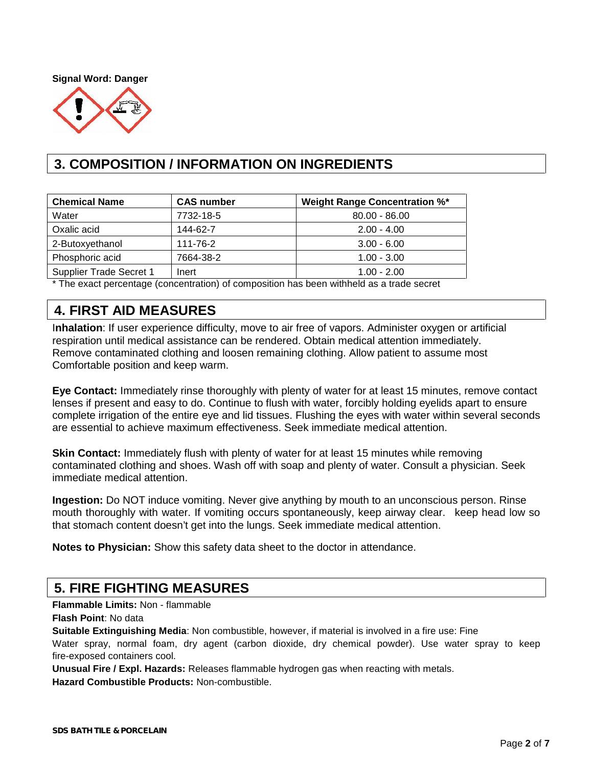#### **Signal Word: Danger**



# **3. COMPOSITION / INFORMATION ON INGREDIENTS**

| <b>Chemical Name</b>    | <b>CAS number</b> | <b>Weight Range Concentration %*</b> |
|-------------------------|-------------------|--------------------------------------|
| Water                   | 7732-18-5         | $80.00 - 86.00$                      |
| Oxalic acid             | 144-62-7          | $2.00 - 4.00$                        |
| 2-Butoxyethanol         | 111-76-2          | $3.00 - 6.00$                        |
| Phosphoric acid         | 7664-38-2         | $1.00 - 3.00$                        |
| Supplier Trade Secret 1 | Inert             | $1.00 - 2.00$                        |

The exact percentage (concentration) of composition has been withheld as a trade secret

# **4. FIRST AID MEASURES**

I**nhalation**: If user experience difficulty, move to air free of vapors. Administer oxygen or artificial respiration until medical assistance can be rendered. Obtain medical attention immediately. Remove contaminated clothing and loosen remaining clothing. Allow patient to assume most Comfortable position and keep warm.

**Eye Contact:** Immediately rinse thoroughly with plenty of water for at least 15 minutes, remove contact lenses if present and easy to do. Continue to flush with water, forcibly holding eyelids apart to ensure complete irrigation of the entire eye and lid tissues. Flushing the eyes with water within several seconds are essential to achieve maximum effectiveness. Seek immediate medical attention.

**Skin Contact:** Immediately flush with plenty of water for at least 15 minutes while removing contaminated clothing and shoes. Wash off with soap and plenty of water. Consult a physician. Seek immediate medical attention.

**Ingestion:** Do NOT induce vomiting. Never give anything by mouth to an unconscious person. Rinse mouth thoroughly with water. If vomiting occurs spontaneously, keep airway clear. keep head low so that stomach content doesn't get into the lungs. Seek immediate medical attention.

**Notes to Physician:** Show this safety data sheet to the doctor in attendance.

#### **5. FIRE FIGHTING MEASURES**

**Flammable Limits:** Non - flammable

**Flash Point**: No data

**Suitable Extinguishing Media**: Non combustible, however, if material is involved in a fire use: Fine Water spray, normal foam, dry agent (carbon dioxide, dry chemical powder). Use water spray to keep fire-exposed containers cool.

**Unusual Fire / Expl. Hazards:** Releases flammable hydrogen gas when reacting with metals. **Hazard Combustible Products:** Non-combustible.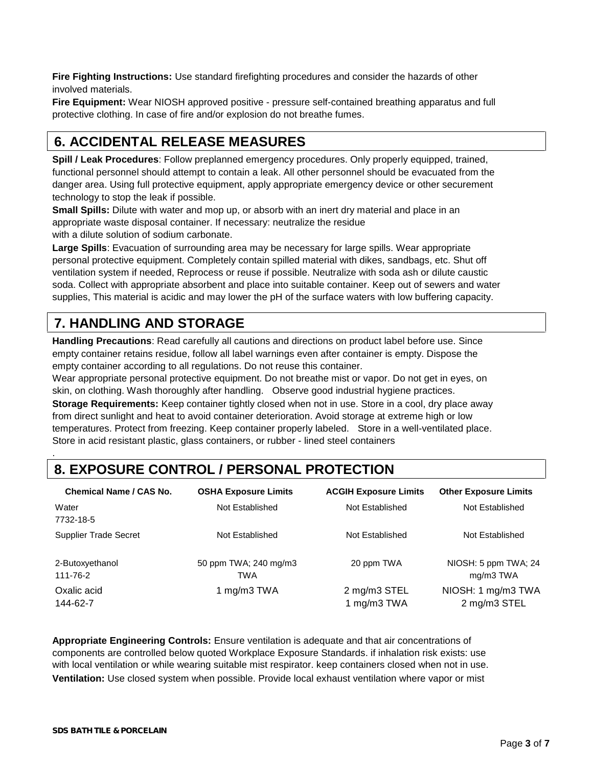**Fire Fighting Instructions:** Use standard firefighting procedures and consider the hazards of other involved materials.

**Fire Equipment:** Wear NIOSH approved positive - pressure self-contained breathing apparatus and full protective clothing. In case of fire and/or explosion do not breathe fumes.

# **6. ACCIDENTAL RELEASE MEASURES**

**Spill / Leak Procedures**: Follow preplanned emergency procedures. Only properly equipped, trained, functional personnel should attempt to contain a leak. All other personnel should be evacuated from the danger area. Using full protective equipment, apply appropriate emergency device or other securement technology to stop the leak if possible.

**Small Spills:** Dilute with water and mop up, or absorb with an inert dry material and place in an appropriate waste disposal container. If necessary: neutralize the residue with a dilute solution of sodium carbonate.

**Large Spills**: Evacuation of surrounding area may be necessary for large spills. Wear appropriate personal protective equipment. Completely contain spilled material with dikes, sandbags, etc. Shut off ventilation system if needed, Reprocess or reuse if possible. Neutralize with soda ash or dilute caustic soda. Collect with appropriate absorbent and place into suitable container. Keep out of sewers and water supplies, This material is acidic and may lower the pH of the surface waters with low buffering capacity.

# **7. HANDLING AND STORAGE**

**Handling Precautions**: Read carefully all cautions and directions on product label before use. Since empty container retains residue, follow all label warnings even after container is empty. Dispose the empty container according to all regulations. Do not reuse this container.

Wear appropriate personal protective equipment. Do not breathe mist or vapor. Do not get in eyes, on skin, on clothing. Wash thoroughly after handling. Observe good industrial hygiene practices. **Storage Requirements:** Keep container tightly closed when not in use. Store in a cool, dry place away from direct sunlight and heat to avoid container deterioration. Avoid storage at extreme high or low temperatures. Protect from freezing. Keep container properly labeled. Store in a well-ventilated place. Store in acid resistant plastic, glass containers, or rubber - lined steel containers

# **8. EXPOSURE CONTROL / PERSONAL PROTECTION**

| <b>Chemical Name / CAS No.</b> | <b>OSHA Exposure Limits</b>         | <b>ACGIH Exposure Limits</b> | <b>Other Exposure Limits</b>       |
|--------------------------------|-------------------------------------|------------------------------|------------------------------------|
| Water<br>7732-18-5             | Not Established                     | Not Established              | Not Established                    |
| <b>Supplier Trade Secret</b>   | Not Established                     | Not Established              | Not Established                    |
| 2-Butoxyethanol<br>111-76-2    | 50 ppm TWA; 240 mg/m3<br><b>TWA</b> | 20 ppm TWA                   | NIOSH: 5 ppm TWA; 24<br>mg/m3 TWA  |
| Oxalic acid<br>144-62-7        | 1 mg/m3 TWA                         | 2 mg/m3 STEL<br>1 mg/m3 TWA  | NIOSH: 1 mg/m3 TWA<br>2 mg/m3 STEL |

**Appropriate Engineering Controls:** Ensure ventilation is adequate and that air concentrations of components are controlled below quoted Workplace Exposure Standards. if inhalation risk exists: use with local ventilation or while wearing suitable mist respirator. keep containers closed when not in use. **Ventilation:** Use closed system when possible. Provide local exhaust ventilation where vapor or mist

.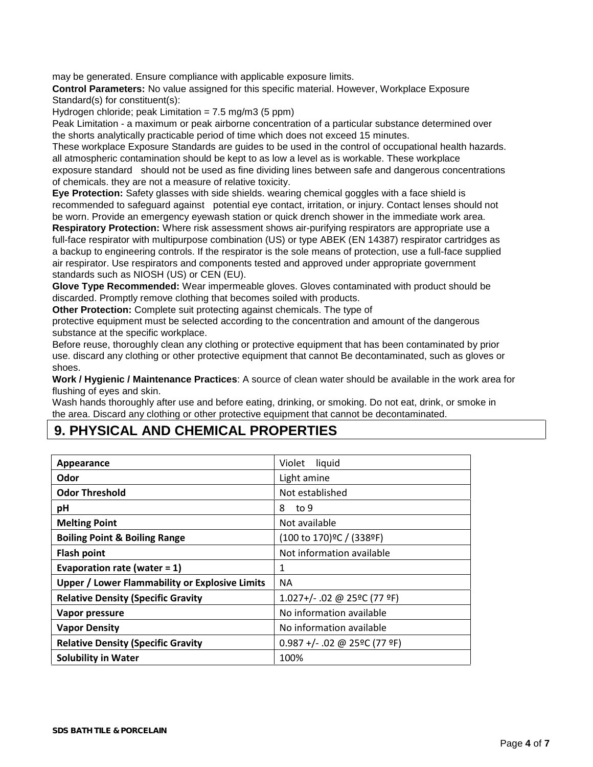may be generated. Ensure compliance with applicable exposure limits.

**Control Parameters:** No value assigned for this specific material. However, Workplace Exposure Standard(s) for constituent(s):

Hydrogen chloride; peak Limitation =  $7.5 \text{ mg/m}$ 3 (5 ppm)

Peak Limitation - a maximum or peak airborne concentration of a particular substance determined over the shorts analytically practicable period of time which does not exceed 15 minutes.

These workplace Exposure Standards are guides to be used in the control of occupational health hazards. all atmospheric contamination should be kept to as low a level as is workable. These workplace exposure standard should not be used as fine dividing lines between safe and dangerous concentrations of chemicals. they are not a measure of relative toxicity.

**Eye Protection:** Safety glasses with side shields. wearing chemical goggles with a face shield is recommended to safeguard against potential eye contact, irritation, or injury. Contact lenses should not be worn. Provide an emergency eyewash station or quick drench shower in the immediate work area.

**Respiratory Protection:** Where risk assessment shows air-purifying respirators are appropriate use a full-face respirator with multipurpose combination (US) or type ABEK (EN 14387) respirator cartridges as a backup to engineering controls. If the respirator is the sole means of protection, use a full-face supplied air respirator. Use respirators and components tested and approved under appropriate government standards such as NIOSH (US) or CEN (EU).

**Glove Type Recommended:** Wear impermeable gloves. Gloves contaminated with product should be discarded. Promptly remove clothing that becomes soiled with products.

**Other Protection:** Complete suit protecting against chemicals. The type of

protective equipment must be selected according to the concentration and amount of the dangerous substance at the specific workplace.

Before reuse, thoroughly clean any clothing or protective equipment that has been contaminated by prior use. discard any clothing or other protective equipment that cannot Be decontaminated, such as gloves or shoes.

**Work / Hygienic / Maintenance Practices**: A source of clean water should be available in the work area for flushing of eyes and skin.

Wash hands thoroughly after use and before eating, drinking, or smoking. Do not eat, drink, or smoke in the area. Discard any clothing or other protective equipment that cannot be decontaminated.

### **9. PHYSICAL AND CHEMICAL PROPERTIES**

| Appearance                                            | Violet<br>liquid                                   |
|-------------------------------------------------------|----------------------------------------------------|
| Odor                                                  | Light amine                                        |
| <b>Odor Threshold</b>                                 | Not established                                    |
| pH                                                    | 8<br>to 9                                          |
| <b>Melting Point</b>                                  | Not available                                      |
| <b>Boiling Point &amp; Boiling Range</b>              | (100 to 170) <sup>o</sup> C / (338 <sup>o</sup> F) |
| <b>Flash point</b>                                    | Not information available                          |
| Evaporation rate (water = $1$ )                       | 1                                                  |
| <b>Upper / Lower Flammability or Explosive Limits</b> | NA.                                                |
| <b>Relative Density (Specific Gravity</b>             | 1.027+/- .02 @ 25ºC (77 ºF)                        |
| Vapor pressure                                        | No information available                           |
| <b>Vapor Density</b>                                  | No information available                           |
| <b>Relative Density (Specific Gravity</b>             | $0.987 +/- .02$ @ 25°C (77 °F)                     |
| <b>Solubility in Water</b>                            | 100%                                               |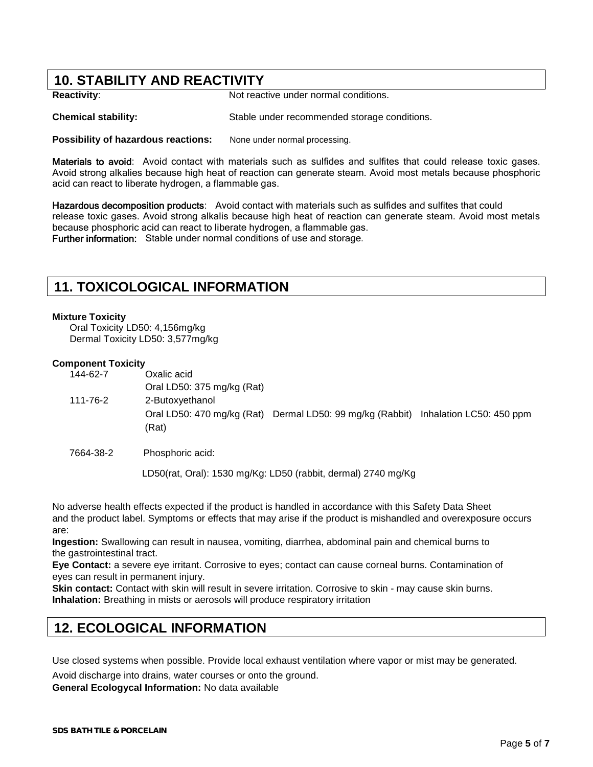### **10. STABILITY AND REACTIVITY**

**Reactivity:** Not reactive under normal conditions.

**Chemical stability:** Stable under recommended storage conditions.

**Possibility of hazardous reactions:** None under normal processing.

**Materials to avoid**: Avoid contact with materials such as sulfides and sulfites that could release toxic gases. Avoid strong alkalies because high heat of reaction can generate steam. Avoid most metals because phosphoric acid can react to liberate hydrogen, a flammable gas.

**Hazardous decomposition products**: Avoid contact with materials such as sulfides and sulfites that could release toxic gases. Avoid strong alkalis because high heat of reaction can generate steam. Avoid most metals because phosphoric acid can react to liberate hydrogen, a flammable gas. **Further information:** Stable under normal conditions of use and storage.

### **11. TOXICOLOGICAL INFORMATION**

#### **Mixture Toxicity**

Oral Toxicity LD50: 4,156mg/kg Dermal Toxicity LD50: 3,577mg/kg

#### **Component Toxicity**

| 144-62-7 | Oxalic acid<br>Oral LD50: 375 mg/kg (Rat) |                                                                                    |  |
|----------|-------------------------------------------|------------------------------------------------------------------------------------|--|
| 111-76-2 | 2-Butoxyethanol<br>(Rat)                  | Oral LD50: 470 mg/kg (Rat) Dermal LD50: 99 mg/kg (Rabbit) Inhalation LC50: 450 ppm |  |
|          |                                           |                                                                                    |  |

7664-38-2 Phosphoric acid:

LD50(rat, Oral): 1530 mg/Kg: LD50 (rabbit, dermal) 2740 mg/Kg

No adverse health effects expected if the product is handled in accordance with this Safety Data Sheet and the product label. Symptoms or effects that may arise if the product is mishandled and overexposure occurs are:

**Ingestion:** Swallowing can result in nausea, vomiting, diarrhea, abdominal pain and chemical burns to the gastrointestinal tract.

**Eye Contact:** a severe eye irritant. Corrosive to eyes; contact can cause corneal burns. Contamination of eyes can result in permanent injury.

**Skin contact:** Contact with skin will result in severe irritation. Corrosive to skin - may cause skin burns. **Inhalation:** Breathing in mists or aerosols will produce respiratory irritation

### **12. ECOLOGICAL INFORMATION**

Use closed systems when possible. Provide local exhaust ventilation where vapor or mist may be generated.

Avoid discharge into drains, water courses or onto the ground. **General Ecologycal Information:** No data available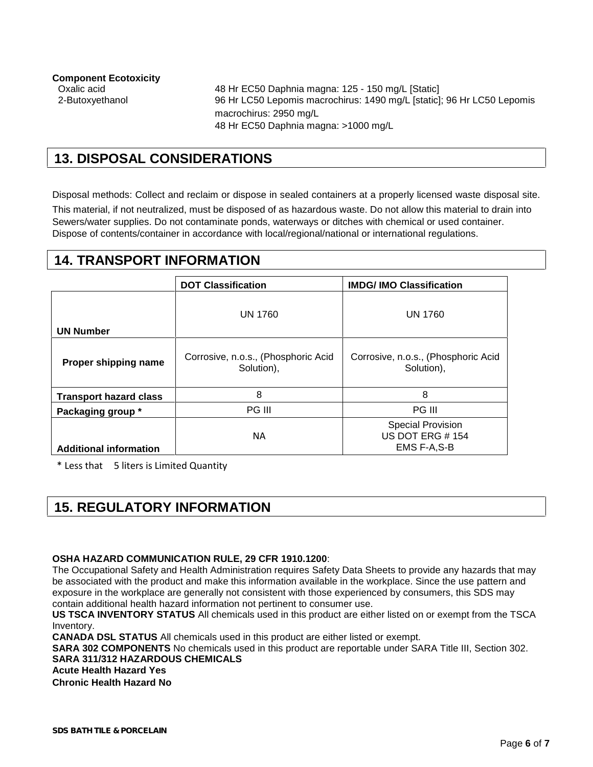Oxalic acid 48 Hr EC50 Daphnia magna: 125 - 150 mg/L [Static] 2-Butoxyethanol 96 Hr LC50 Lepomis macrochirus: 1490 mg/L [static]; 96 Hr LC50 Lepomis macrochirus: 2950 mg/L 48 Hr EC50 Daphnia magna: >1000 mg/L

# **13. DISPOSAL CONSIDERATIONS**

Disposal methods: Collect and reclaim or dispose in sealed containers at a properly licensed waste disposal site. This material, if not neutralized, must be disposed of as hazardous waste. Do not allow this material to drain into Sewers/water supplies. Do not contaminate ponds, waterways or ditches with chemical or used container. Dispose of contents/container in accordance with local/regional/national or international regulations.

## **14. TRANSPORT INFORMATION**

|                               | <b>DOT Classification</b>                         | <b>IMDG/IMO Classification</b>                                    |  |
|-------------------------------|---------------------------------------------------|-------------------------------------------------------------------|--|
|                               | <b>UN 1760</b>                                    | <b>UN 1760</b>                                                    |  |
| <b>UN Number</b>              |                                                   |                                                                   |  |
| Proper shipping name          | Corrosive, n.o.s., (Phosphoric Acid<br>Solution), | Corrosive, n.o.s., (Phosphoric Acid<br>Solution),                 |  |
| <b>Transport hazard class</b> | 8                                                 | 8                                                                 |  |
| Packaging group *             | PG III                                            | <b>PG III</b>                                                     |  |
| <b>Additional information</b> | <b>NA</b>                                         | <b>Special Provision</b><br><b>US DOT ERG #154</b><br>EMS F-A,S-B |  |

\* Less that 5 liters is Limited Quantity

# **15. REGULATORY INFORMATION**

**OSHA HAZARD COMMUNICATION RULE, 29 CFR 1910.1200**:

The Occupational Safety and Health Administration requires Safety Data Sheets to provide any hazards that may be associated with the product and make this information available in the workplace. Since the use pattern and exposure in the workplace are generally not consistent with those experienced by consumers, this SDS may contain additional health hazard information not pertinent to consumer use.

**US TSCA INVENTORY STATUS** All chemicals used in this product are either listed on or exempt from the TSCA Inventory.

**CANADA DSL STATUS** All chemicals used in this product are either listed or exempt.

**SARA 302 COMPONENTS** No chemicals used in this product are reportable under SARA Title III, Section 302. **SARA 311/312 HAZARDOUS CHEMICALS Acute Health Hazard Yes**

**Chronic Health Hazard No**